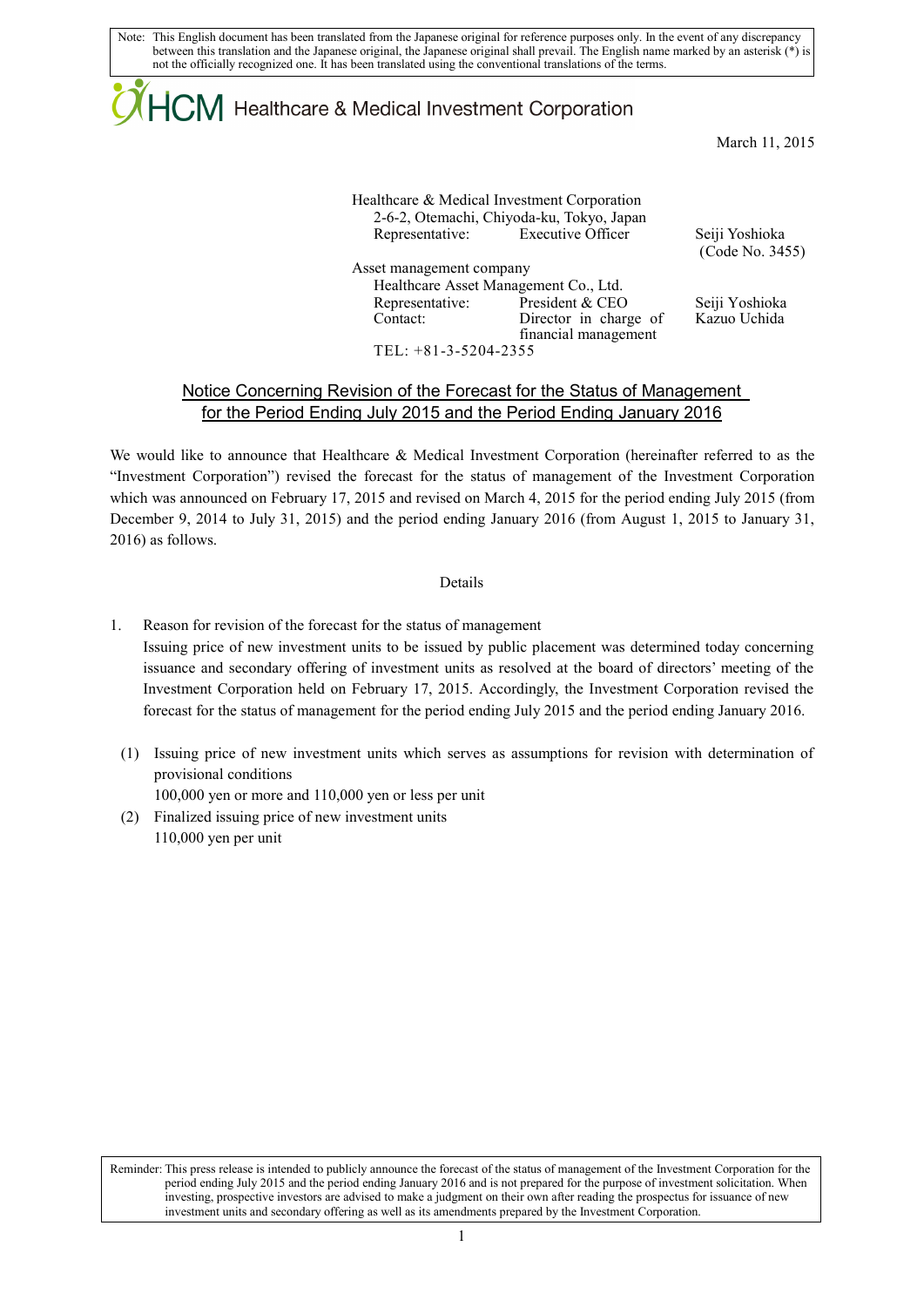Note: This English document has been translated from the Japanese original for reference purposes only. In the event of any discrepancy between this translation and the Japanese original, the Japanese original shall prevail. The English name marked by an asterisk (\*) is not the officially recognized one. It has been translated using the conventional translations of the terms.

# $\mathsf{ICM}\xspace$  Healthcare & Medical Investment Corporation

March 11, 2015

No. 3455)

|                             | Healthcare & Medical Investment Corporation<br>2-6-2, Otemachi, Chiyoda-ku, Tokyo, Japan |                                 |
|-----------------------------|------------------------------------------------------------------------------------------|---------------------------------|
|                             | Representative: Executive Officer                                                        | Seiji Yoshioka<br>(Code No. 34) |
| Asset management company    |                                                                                          |                                 |
|                             | Healthcare Asset Management Co., Ltd.                                                    |                                 |
| Representative:<br>Contact: | President & CEO<br>Director in charge of                                                 | Seiji Yoshioka<br>Kazuo Uchida  |
| TEL: $+81-3-5204-2355$      | financial management                                                                     |                                 |

### Notice Concerning Revision of the Forecast for the Status of Management for the Period Ending July 2015 and the Period Ending January 2016

We would like to announce that Healthcare & Medical Investment Corporation (hereinafter referred to as the "Investment Corporation") revised the forecast for the status of management of the Investment Corporation which was announced on February 17, 2015 and revised on March 4, 2015 for the period ending July 2015 (from December 9, 2014 to July 31, 2015) and the period ending January 2016 (from August 1, 2015 to January 31, 2016) as follows.

#### Details

- 1. Reason for revision of the forecast for the status of management Issuing price of new investment units to be issued by public placement was determined today concerning issuance and secondary offering of investment units as resolved at the board of directors' meeting of the Investment Corporation held on February 17, 2015. Accordingly, the Investment Corporation revised the forecast for the status of management for the period ending July 2015 and the period ending January 2016.
	- (1) Issuing price of new investment units which serves as assumptions for revision with determination of provisional conditions

100,000 yen or more and 110,000 yen or less per unit

(2) Finalized issuing price of new investment units 110,000 yen per unit

Reminder: This press release is intended to publicly announce the forecast of the status of management of the Investment Corporation for the period ending July 2015 and the period ending January 2016 and is not prepared for the purpose of investment solicitation. When investing, prospective investors are advised to make a judgment on their own after reading the prospectus for issuance of new investment units and secondary offering as well as its amendments prepared by the Investment Corporation.